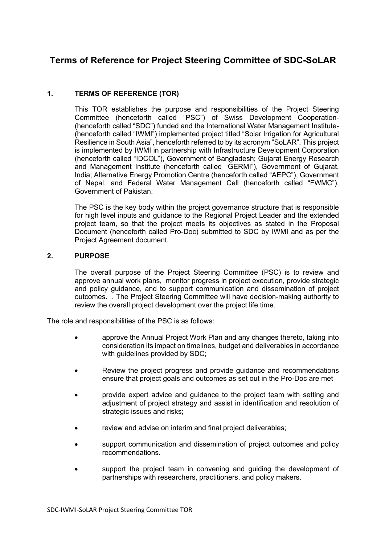# **Terms of Reference for Project Steering Committee of SDC-SoLAR**

## **1. TERMS OF REFERENCE (TOR)**

This TOR establishes the purpose and responsibilities of the Project Steering Committee (henceforth called "PSC") of Swiss Development Cooperation- (henceforth called "SDC") funded and the International Water Management Institute- (henceforth called "IWMI") implemented project titled "Solar Irrigation for Agricultural Resilience in South Asia", henceforth referred to by its acronym "SoLAR". This project is implemented by IWMI in partnership with Infrastructure Development Corporation (henceforth called "IDCOL"), Government of Bangladesh; Gujarat Energy Research and Management Institute (henceforth called "GERMI"), Government of Gujarat, India; Alternative Energy Promotion Centre (henceforth called "AEPC"), Government of Nepal, and Federal Water Management Cell (henceforth called "FWMC"), Government of Pakistan.

The PSC is the key body within the project governance structure that is responsible for high level inputs and guidance to the Regional Project Leader and the extended project team, so that the project meets its objectives as stated in the Proposal Document (henceforth called Pro-Doc) submitted to SDC by IWMI and as per the Project Agreement document.

## **2. PURPOSE**

The overall purpose of the Project Steering Committee (PSC) is to review and approve annual work plans, monitor progress in project execution, provide strategic and policy guidance, and to support communication and dissemination of project outcomes. . The Project Steering Committee will have decision-making authority to review the overall project development over the project life time.

The role and responsibilities of the PSC is as follows:

- approve the Annual Project Work Plan and any changes thereto, taking into consideration its impact on timelines, budget and deliverables in accordance with guidelines provided by SDC:
- Review the project progress and provide guidance and recommendations ensure that project goals and outcomes as set out in the Pro-Doc are met
- provide expert advice and guidance to the project team with setting and adjustment of project strategy and assist in identification and resolution of strategic issues and risks;
- review and advise on interim and final project deliverables;
- support communication and dissemination of project outcomes and policy recommendations.
- support the project team in convening and quiding the development of partnerships with researchers, practitioners, and policy makers.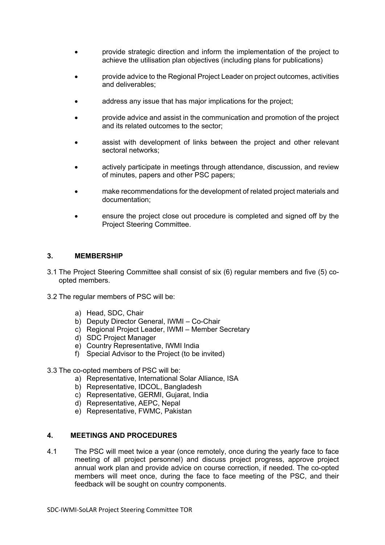- provide strategic direction and inform the implementation of the project to achieve the utilisation plan objectives (including plans for publications)
- provide advice to the Regional Project Leader on project outcomes, activities and deliverables;
- address any issue that has major implications for the project;
- provide advice and assist in the communication and promotion of the project and its related outcomes to the sector;
- assist with development of links between the project and other relevant sectoral networks;
- actively participate in meetings through attendance, discussion, and review of minutes, papers and other PSC papers;
- make recommendations for the development of related project materials and documentation;
- ensure the project close out procedure is completed and signed off by the Project Steering Committee.

#### **3. MEMBERSHIP**

- 3.1 The Project Steering Committee shall consist of six (6) regular members and five (5) coopted members.
- 3.2 The regular members of PSC will be:
	- a) Head, SDC, Chair
	- b) Deputy Director General, IWMI Co-Chair
	- c) Regional Project Leader, IWMI Member Secretary
	- d) SDC Project Manager
	- e) Country Representative, IWMI India
	- f) Special Advisor to the Project (to be invited)

3.3 The co-opted members of PSC will be:

- a) Representative, International Solar Alliance, ISA
- b) Representative, IDCOL, Bangladesh
- c) Representative, GERMI, Gujarat, India
- d) Representative, AEPC, Nepal
- e) Representative, FWMC, Pakistan

### **4. MEETINGS AND PROCEDURES**

4.1 The PSC will meet twice a year (once remotely, once during the yearly face to face meeting of all project personnel) and discuss project progress, approve project annual work plan and provide advice on course correction, if needed. The co-opted members will meet once, during the face to face meeting of the PSC, and their feedback will be sought on country components.